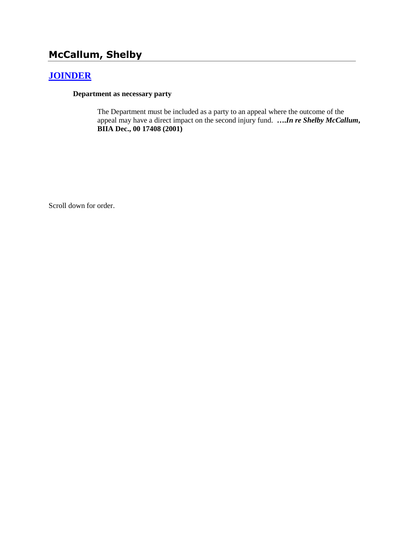# **McCallum, Shelby**

# **[JOINDER](http://www.biia.wa.gov/SDSubjectIndex.html#JOINDER)**

#### **Department as necessary party**

The Department must be included as a party to an appeal where the outcome of the appeal may have a direct impact on the second injury fund. **….***In re Shelby McCallum***, BIIA Dec., 00 17408 (2001)**

Scroll down for order.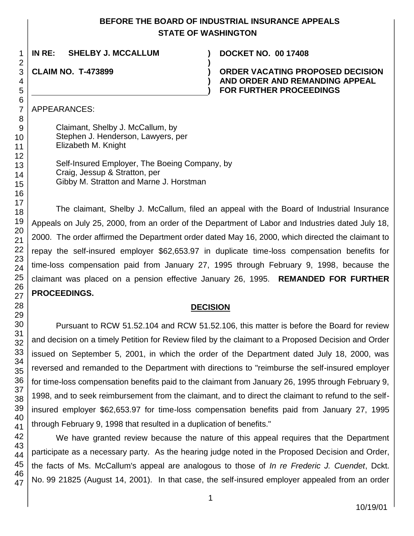### **BEFORE THE BOARD OF INDUSTRIAL INSURANCE APPEALS STATE OF WASHINGTON**

**)**

**) )**

**IN RE: SHELBY J. MCCALLUM ) DOCKET NO. 00 17408**

**CLAIM NO. T-473899 )**

**ORDER VACATING PROPOSED DECISION AND ORDER AND REMANDING APPEAL FOR FURTHER PROCEEDINGS**

APPEARANCES:

1 2 3

> Claimant, Shelby J. McCallum, by Stephen J. Henderson, Lawyers, per Elizabeth M. Knight

Self-Insured Employer, The Boeing Company, by Craig, Jessup & Stratton, per Gibby M. Stratton and Marne J. Horstman

The claimant, Shelby J. McCallum, filed an appeal with the Board of Industrial Insurance Appeals on July 25, 2000, from an order of the Department of Labor and Industries dated July 18, 2000. The order affirmed the Department order dated May 16, 2000, which directed the claimant to repay the self-insured employer \$62,653.97 in duplicate time-loss compensation benefits for time-loss compensation paid from January 27, 1995 through February 9, 1998, because the claimant was placed on a pension effective January 26, 1995. **REMANDED FOR FURTHER PROCEEDINGS.**

### **DECISION**

Pursuant to RCW 51.52.104 and RCW 51.52.106, this matter is before the Board for review and decision on a timely Petition for Review filed by the claimant to a Proposed Decision and Order issued on September 5, 2001, in which the order of the Department dated July 18, 2000, was reversed and remanded to the Department with directions to "reimburse the self-insured employer for time-loss compensation benefits paid to the claimant from January 26, 1995 through February 9, 1998, and to seek reimbursement from the claimant, and to direct the claimant to refund to the selfinsured employer \$62,653.97 for time-loss compensation benefits paid from January 27, 1995 through February 9, 1998 that resulted in a duplication of benefits."

45 46 47 We have granted review because the nature of this appeal requires that the Department participate as a necessary party. As the hearing judge noted in the Proposed Decision and Order, the facts of Ms. McCallum's appeal are analogous to those of *In re Frederic J. Cuendet*, Dckt. No. 99 21825 (August 14, 2001). In that case, the self-insured employer appealed from an order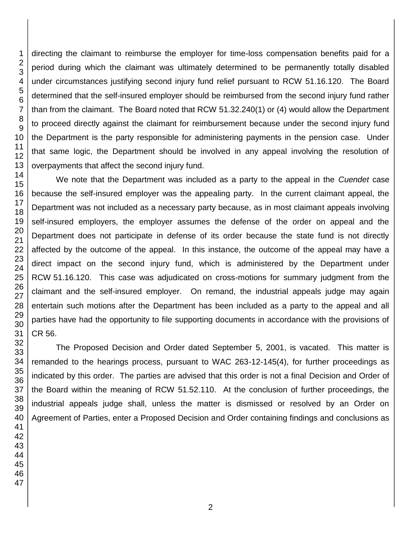directing the claimant to reimburse the employer for time-loss compensation benefits paid for a period during which the claimant was ultimately determined to be permanently totally disabled under circumstances justifying second injury fund relief pursuant to RCW 51.16.120. The Board determined that the self-insured employer should be reimbursed from the second injury fund rather than from the claimant. The Board noted that RCW 51.32.240(1) or (4) would allow the Department to proceed directly against the claimant for reimbursement because under the second injury fund the Department is the party responsible for administering payments in the pension case. Under that same logic, the Department should be involved in any appeal involving the resolution of overpayments that affect the second injury fund.

We note that the Department was included as a party to the appeal in the *Cuendet* case because the self-insured employer was the appealing party. In the current claimant appeal, the Department was not included as a necessary party because, as in most claimant appeals involving self-insured employers, the employer assumes the defense of the order on appeal and the Department does not participate in defense of its order because the state fund is not directly affected by the outcome of the appeal. In this instance, the outcome of the appeal may have a direct impact on the second injury fund, which is administered by the Department under RCW 51.16.120. This case was adjudicated on cross-motions for summary judgment from the claimant and the self-insured employer. On remand, the industrial appeals judge may again entertain such motions after the Department has been included as a party to the appeal and all parties have had the opportunity to file supporting documents in accordance with the provisions of CR 56.

The Proposed Decision and Order dated September 5, 2001, is vacated. This matter is remanded to the hearings process, pursuant to WAC 263-12-145(4), for further proceedings as indicated by this order. The parties are advised that this order is not a final Decision and Order of the Board within the meaning of RCW 51.52.110. At the conclusion of further proceedings, the industrial appeals judge shall, unless the matter is dismissed or resolved by an Order on Agreement of Parties, enter a Proposed Decision and Order containing findings and conclusions as